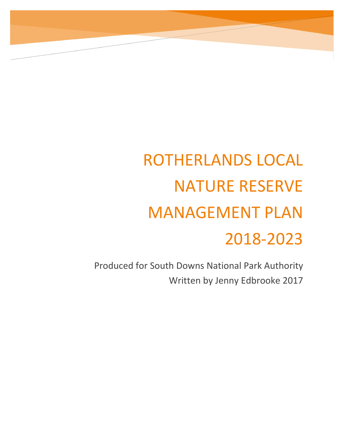# ROTHERLANDS LOCAL NATURE RESERVE MANAGEMENT PLAN 2018-2023

Produced for South Downs National Park Authority Written by Jenny Edbrooke 2017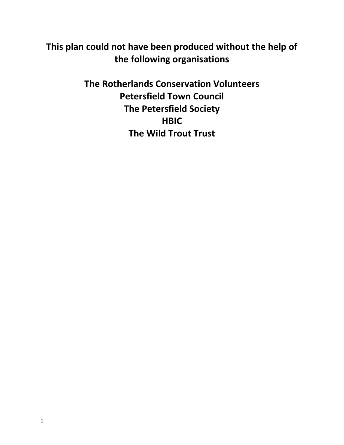### **This plan could not have been produced without the help of the following organisations**

**The Rotherlands Conservation Volunteers Petersfield Town Council The Petersfield Society HBIC The Wild Trout Trust**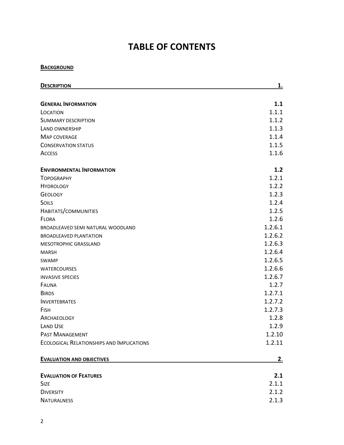### **TABLE OF CONTENTS**

#### **BACKGROUND**

| <b>DESCRIPTION</b>                               | <u>1.</u> |
|--------------------------------------------------|-----------|
| <b>GENERAL INFORMATION</b>                       | 1.1       |
|                                                  | 1.1.1     |
| LOCATION                                         | 1.1.2     |
| <b>SUMMARY DESCRIPTION</b>                       | 1.1.3     |
| LAND OWNERSHIP                                   |           |
| <b>MAP COVERAGE</b>                              | 1.1.4     |
| <b>CONSERVATION STATUS</b>                       | 1.1.5     |
| <b>ACCESS</b>                                    | 1.1.6     |
| <b>ENVIRONMENTAL INFORMATION</b>                 | 1.2       |
| <b>TOPOGRAPHY</b>                                | 1.2.1     |
| <b>HYDROLOGY</b>                                 | 1.2.2     |
| <b>GEOLOGY</b>                                   | 1.2.3     |
| SOILS                                            | 1.2.4     |
| HABITATS/COMMUNITIES                             | 1.2.5     |
| FLORA                                            | 1.2.6     |
| BROADLEAVED SEMI NATURAL WOODLAND                | 1.2.6.1   |
| <b>BROADLEAVED PLANTATION</b>                    | 1.2.6.2   |
| MESOTROPHIC GRASSLAND                            | 1.2.6.3   |
| <b>MARSH</b>                                     | 1.2.6.4   |
| <b>SWAMP</b>                                     | 1.2.6.5   |
| <b>WATERCOURSES</b>                              | 1.2.6.6   |
| <b>INVASIVE SPECIES</b>                          | 1.2.6.7   |
| FAUNA                                            | 1.2.7     |
| <b>BIRDS</b>                                     | 1.2.7.1   |
| <b>INVERTEBRATES</b>                             | 1.2.7.2   |
| <b>FISH</b>                                      | 1.2.7.3   |
| ARCHAEOLOGY                                      | 1.2.8     |
| <b>LAND USE</b>                                  | 1.2.9     |
| PAST MANAGEMENT                                  | 1.2.10    |
| <b>ECOLOGICAL RELATIONSHIPS AND IMPLICATIONS</b> | 1.2.11    |
| <b>EVALUATION AND OBJECTIVES</b>                 | <u>2.</u> |
| <b>EVALUATION OF FEATURES</b>                    | 2.1       |
| <b>SIZE</b>                                      | 2.1.1     |
| <b>DIVERSITY</b>                                 | 2.1.2     |
|                                                  |           |
| <b>NATURALNESS</b>                               | 2.1.3     |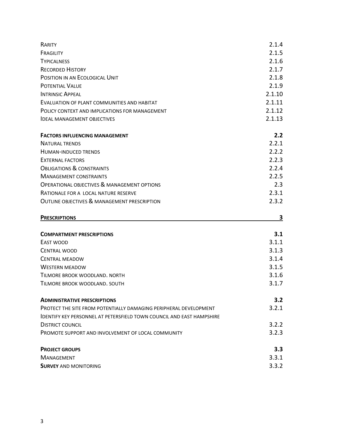| RARITY                                                                       | 2.1.4            |
|------------------------------------------------------------------------------|------------------|
| FRAGILITY                                                                    | 2.1.5            |
| <b>TYPICALNESS</b>                                                           | 2.1.6            |
| <b>RECORDED HISTORY</b>                                                      | 2.1.7            |
| POSITION IN AN ECOLOGICAL UNIT                                               | 2.1.8            |
| <b>POTENTIAL VALUE</b>                                                       | 2.1.9            |
| <b>INTRINSIC APPEAL</b>                                                      | 2.1.10           |
| EVALUATION OF PLANT COMMUNITIES AND HABITAT                                  | 2.1.11           |
| POLICY CONTEXT AND IMPLICATIONS FOR MANAGEMENT                               | 2.1.12           |
| <b>IDEAL MANAGEMENT OBJECTIVES</b>                                           | 2.1.13           |
| <b>FACTORS INFLUENCING MANAGEMENT</b>                                        | 2.2              |
| <b>NATURAL TRENDS</b>                                                        | 2.2.1            |
| <b>HUMAN-INDUCED TRENDS</b>                                                  | 2.2.2            |
| <b>EXTERNAL FACTORS</b>                                                      | 2.2.3            |
| <b>OBLIGATIONS &amp; CONSTRAINTS</b>                                         | 2.2.4            |
| <b>MANAGEMENT CONSTRAINTS</b>                                                | 2.2.5            |
| <b>OPERATIONAL OBJECTIVES &amp; MANAGEMENT OPTIONS</b>                       | 2.3              |
| RATIONALE FOR A LOCAL NATURE RESERVE                                         | 2.3.1            |
| <b>OUTLINE OBJECTIVES &amp; MANAGEMENT PRESCRIPTION</b>                      | 2.3.2            |
| <b>PRESCRIPTIONS</b>                                                         | 3                |
| <b>COMPARTMENT PRESCRIPTIONS</b>                                             | 3.1              |
| EAST WOOD                                                                    | 3.1.1            |
| <b>CENTRAL WOOD</b>                                                          | 3.1.3            |
| <b>CENTRAL MEADOW</b>                                                        | 3.1.4            |
| <b>WESTERN MEADOW</b>                                                        | 3.1.5            |
| TILMORE BROOK WOODLAND, NORTH                                                | 3.1.6            |
| TILMORE BROOK WOODLAND, SOUTH                                                | 3.1.7            |
| <b>ADMINISTRATIVE PRESCRIPTIONS</b>                                          | 3.2 <sub>2</sub> |
| PROTECT THE SITE FROM POTENTIALLY DAMAGING PERIPHERAL DEVELOPMENT            | 3.2.1            |
| <b>IDENTIFY KEY PERSONNEL AT PETERSFIELD TOWN COUNCIL AND EAST HAMPSHIRE</b> |                  |
|                                                                              |                  |
| <b>DISTRICT COUNCIL</b>                                                      | 3.2.2            |
| PROMOTE SUPPORT AND INVOLVEMENT OF LOCAL COMMUNITY                           | 3.2.3            |
| <b>PROJECT GROUPS</b>                                                        | 3.3              |
| <b>MANAGEMENT</b>                                                            | 3.3.1            |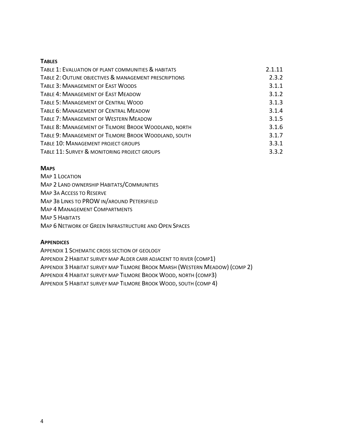#### **TABLES**

| TABLE 1: EVALUATION OF PLANT COMMUNITIES & HABITATS    | 2.1.11 |
|--------------------------------------------------------|--------|
| TABLE 2: OUTLINE OBJECTIVES & MANAGEMENT PRESCRIPTIONS | 2.3.2  |
| TABLE 3: MANAGEMENT OF EAST WOODS                      | 3.1.1  |
| <b>TABLE 4: MANAGEMENT OF EAST MEADOW</b>              | 3.1.2  |
| TABLE 5: MANAGEMENT OF CENTRAL WOOD                    | 3.1.3  |
| TABLE 6: MANAGEMENT OF CENTRAL MEADOW                  | 3.1.4  |
| <b>TABLE 7: MANAGEMENT OF WESTERN MEADOW</b>           | 3.1.5  |
| TABLE 8: MANAGEMENT OF TILMORE BROOK WOODLAND, NORTH   | 3.1.6  |
| TABLE 9: MANAGEMENT OF TILMORE BROOK WOODLAND, SOUTH   | 3.1.7  |
| TABLE 10: MANAGEMENT PROJECT GROUPS                    | 3.3.1  |
| TABLE 11: SURVEY & MONITORING PROJECT GROUPS           | 3.3.2  |

#### **MAPS**

MAP 1 LOCATION MAP 2 LAND OWNERSHIP HABITATS/COMMUNITIES MAP 3A ACCESS TO RESERVE MAP 3B LINKS TO PROW IN/AROUND PETERSFIELD MAP 4 MANAGEMENT COMPARTMENTS MAP 5 HABITATS MAP 6 NETWORK OF GREEN INFRASTRUCTURE AND OPEN SPACES

#### **APPENDICES**

APPENDIX 1 SCHEMATIC CROSS SECTION OF GEOLOGY APPENDIX 2 HABITAT SURVEY MAP ALDER CARR ADJACENT TO RIVER (COMP1) APPENDIX 3 HABITAT SURVEY MAP TILMORE BROOK MARSH (WESTERN MEADOW) (COMP 2) APPENDIX 4 HABITAT SURVEY MAP TILMORE BROOK WOOD, NORTH (COMP3) APPENDIX 5 HABITAT SURVEY MAP TILMORE BROOK WOOD, SOUTH (COMP 4)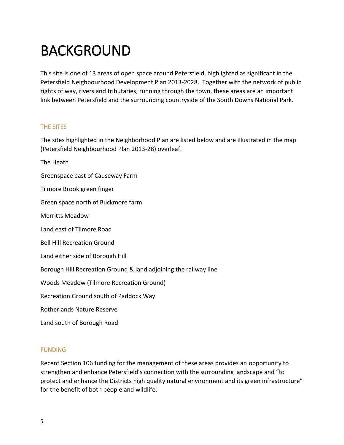## BACKGROUND

This site is one of 13 areas of open space around Petersfield, highlighted as significant in the Petersfield Neighbourhood Development Plan 2013-2028. Together with the network of public rights of way, rivers and tributaries, running through the town, these areas are an important link between Petersfield and the surrounding countryside of the South Downs National Park.

#### THE SITES

The sites highlighted in the Neighborhood Plan are listed below and are illustrated in the map (Petersfield Neighbourhood Plan 2013-28) overleaf.

The Heath Greenspace east of Causeway Farm Tilmore Brook green finger Green space north of Buckmore farm Merritts Meadow Land east of Tilmore Road Bell Hill Recreation Ground Land either side of Borough Hill Borough Hill Recreation Ground & land adjoining the railway line Woods Meadow (Tilmore Recreation Ground) Recreation Ground south of Paddock Way Rotherlands Nature Reserve Land south of Borough Road

### FUNDING

Recent Section 106 funding for the management of these areas provides an opportunity to strengthen and enhance Petersfield's connection with the surrounding landscape and "to protect and enhance the Districts high quality natural environment and its green infrastructure" for the benefit of both people and wildlife.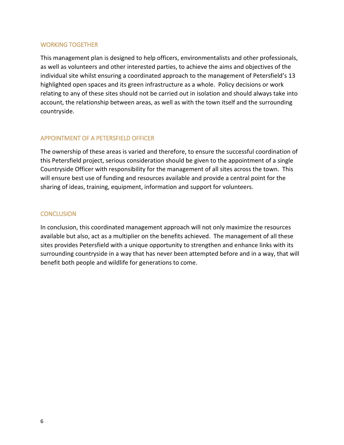#### WORKING TOGETHER

This management plan is designed to help officers, environmentalists and other professionals, as well as volunteers and other interested parties, to achieve the aims and objectives of the individual site whilst ensuring a coordinated approach to the management of Petersfield's 13 highlighted open spaces and its green infrastructure as a whole. Policy decisions or work relating to any of these sites should not be carried out in isolation and should always take into account, the relationship between areas, as well as with the town itself and the surrounding countryside.

### APPOINTMENT OF A PETERSFIELD OFFICER

The ownership of these areas is varied and therefore, to ensure the successful coordination of this Petersfield project, serious consideration should be given to the appointment of a single Countryside Officer with responsibility for the management of all sites across the town. This will ensure best use of funding and resources available and provide a central point for the sharing of ideas, training, equipment, information and support for volunteers.

#### **CONCLUSION**

In conclusion, this coordinated management approach will not only maximize the resources available but also, act as a multiplier on the benefits achieved. The management of all these sites provides Petersfield with a unique opportunity to strengthen and enhance links with its surrounding countryside in a way that has never been attempted before and in a way, that will benefit both people and wildlife for generations to come.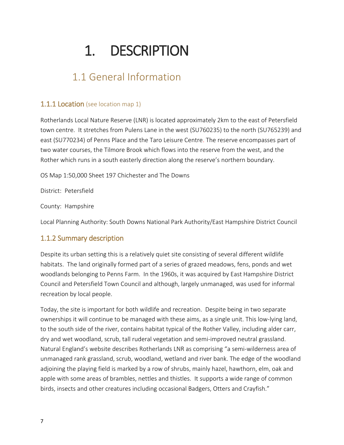## 1. DESCRIPTION

### 1.1 General Information

### **1.1.1 Location** (see location map 1)

Rotherlands Local Nature Reserve (LNR) is located approximately 2km to the east of Petersfield town centre. It stretches from PulensLane in the west (SU760235) to the north (SU765239) and east (SU770234) of Penns Place and the Taro Leisure Centre. The reserve encompasses part of two water courses, the Tilmore Brook which flows into the reserve from the west, and the Rother which runs in a south easterly direction along the reserve's northern boundary.

OS Map 1:50,000 Sheet 197 Chichester and The Downs

District: Petersfield

County: Hampshire

Local Planning Authority: South Downs National Park Authority/East Hampshire District Council

### 1.1.2 Summary description

Despite its urban setting this is a relatively quiet site consisting of several different wildlife habitats. The land originally formed part of a series of grazed meadows, fens, ponds and wet woodlands belonging to Penns Farm. In the 1960s, it was acquired by East Hampshire District Council and Petersfield Town Council and although, largely unmanaged, was used for informal recreation by local people.

Today, the site is important for both wildlife and recreation. Despite being in two separate ownerships it will continue to be managed with these aims, as a single unit. This low-lying land, to the south side of the river, contains habitat typical of the Rother Valley, including alder carr, dry and wet woodland, scrub, tall ruderal vegetation and semi-improved neutral grassland. Natural England's website describes Rotherlands LNR as comprising "a semi-wilderness area of unmanaged rank grassland, scrub, woodland, wetland and river bank. The edge of the woodland adjoining the playing field is marked by a row of shrubs, mainly hazel, hawthorn, elm, oak and apple with some areas of brambles, nettles and thistles. It supports a wide range of common birds, insects and other creatures including occasional Badgers, Otters and Crayfish."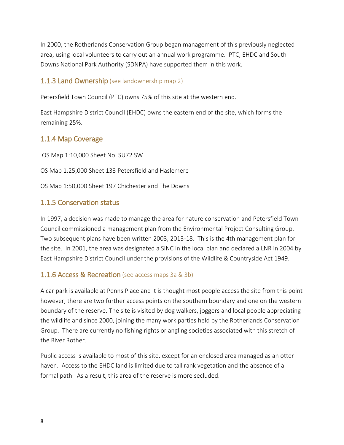In 2000, the Rotherlands Conservation Group began management of this previously neglected area, using local volunteers to carry out an annual work programme. PTC, EHDC and South Downs National Park Authority (SDNPA) have supported them in this work.

### **1.1.3 Land Ownership** (see landownership map 2)

Petersfield Town Council (PTC) owns 75% of this site at the western end.

East Hampshire District Council (EHDC) owns the eastern end of the site, which forms the remaining 25%.

### 1.1.4 Map Coverage

OS Map 1:10,000 Sheet No. SU72 SW

OS Map 1:25,000 Sheet 133 Petersfield and Haslemere

OS Map 1:50,000 Sheet 197 Chichester and The Downs

### 1.1.5 Conservation status

In 1997, a decision was made to manage the area for nature conservation and Petersfield Town Council commissioned a management plan from the Environmental Project Consulting Group. Two subsequent plans have been written 2003, 2013-18. This is the 4th management plan for the site. In 2001, the area was designated a SINC in the local plan and declared a LNR in 2004 by East Hampshire District Council under the provisions of the Wildlife & Countryside Act 1949.

### **1.1.6 Access & Recreation** (see access maps 3a & 3b)

A car park is available at Penns Place and it is thought most people access the site from this point however, there are two further access points on the southern boundary and one on the western boundary of the reserve. The site is visited by dog walkers, joggers and local people appreciating the wildlife and since 2000, joining the many work parties held by the Rotherlands Conservation Group. There are currently no fishing rights or angling societies associated with this stretch of the River Rother.

Public access is available to most of this site, except for an enclosed area managed as an otter haven. Access to the EHDC land is limited due to tall rank vegetation and the absence of a formal path. As a result, this area of the reserve is more secluded.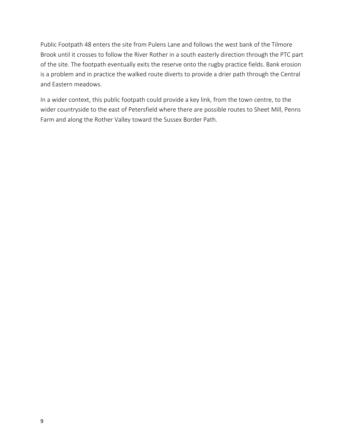Public Footpath 48 enters the site from Pulens Lane and follows the west bank of the Tilmore Brook until it crosses to follow the River Rother in a south easterly direction through the PTC part of the site. The footpath eventually exits the reserve onto the rugby practice fields. Bank erosion is a problem and in practice the walked route diverts to provide a drier path through the Central and Eastern meadows.

In a wider context, this public footpath could provide a key link, from the town centre, to the wider countryside to the east of Petersfield where there are possible routes to Sheet Mill, Penns Farm and along the Rother Valley toward the Sussex Border Path.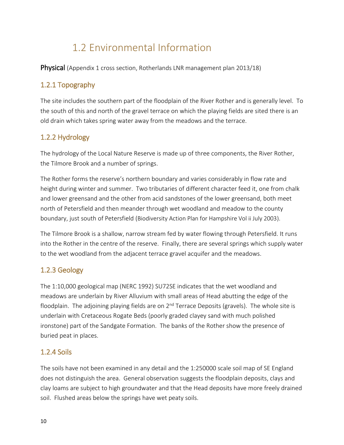### 1.2 Environmental Information

Physical (Appendix 1 cross section, Rotherlands LNR management plan 2013/18)

### 1.2.1 Topography

The site includes the southern part of the floodplain of the River Rother and is generally level. To the south of this and north of the gravel terrace on which the playing fields are sited there is an old drain which takes spring water away from the meadows and the terrace.

### 1.2.2 Hydrology

The hydrology of the Local Nature Reserve is made up of three components, the River Rother, the Tilmore Brook and a number of springs.

The Rother forms the reserve's northern boundary and varies considerably in flow rate and height during winter and summer. Two tributaries of different character feed it, one from chalk and lower greensand and the other from acid sandstones of the lower greensand, both meet north of Petersfield and then meander through wet woodland and meadow to the county boundary, just south of Petersfield (Biodiversity Action Plan for Hampshire Vol ii July 2003).

The Tilmore Brook is a shallow, narrow stream fed by water flowing through Petersfield. It runs into the Rother in the centre of the reserve. Finally, there are several springs which supply water to the wet woodland from the adjacent terrace gravel acquifer and the meadows.

### 1.2.3 Geology

The 1:10,000 geological map (NERC 1992) SU72SE indicates that the wet woodland and meadows are underlain by River Alluvium with small areas of Head abutting the edge of the floodplain. The adjoining playing fields are on  $2<sup>nd</sup>$  Terrace Deposits (gravels). The whole site is underlain with Cretaceous Rogate Beds (poorly graded clayey sand with much polished ironstone) part of the Sandgate Formation. The banks of the Rother show the presence of buried peat in places.

### 1.2.4 Soils

The soils have not been examined in any detail and the 1:250000 scale soil map of SE England does not distinguish the area. General observation suggests the floodplain deposits, clays and clay loams are subject to high groundwater and that the Head deposits have more freely drained soil. Flushed areas below the springs have wet peaty soils.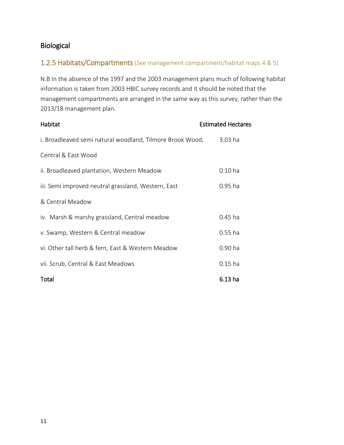### Biological

### 1.2.5 Habitats/Compartments (See management compartment/habitat maps 4 & 5)

N.B In the absence of the 1997 and the 2003 management plans much of following habitat information is taken from 2003 HBIC survey records and it should be noted that the management compartments are arranged in the same way as this survey, rather than the 2013/18 management plan.

| Habitat                                                   | <b>Estimated Hectares</b> |
|-----------------------------------------------------------|---------------------------|
| i. Broadleaved semi natural woodland, Tilmore Brook Wood, | 3.03 ha                   |
| Central & East Wood                                       |                           |
| ii. Broadleaved plantation, Western Meadow                | $0.10$ ha                 |
| iii. Semi improved neutral grassland, Western, East       | $0.95$ ha                 |
| & Central Meadow                                          |                           |
| iv. Marsh & marshy grassland, Central meadow              | $0.45$ ha                 |
| v. Swamp, Western & Central meadow                        | $0.55$ ha                 |
| vi. Other tall herb & fern, East & Western Meadow         | 0.90 ha                   |
| vii. Scrub, Central & East Meadows                        | $0.15$ ha                 |
| Total                                                     | 6.13 <sub>ha</sub>        |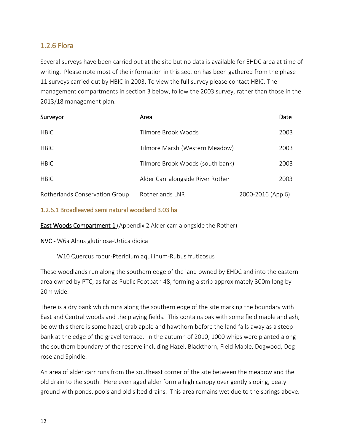### 1.2.6 Flora

Several surveys have been carried out at the site but no data is available for EHDC area at time of writing. Please note most of the information in this section has been gathered from the phase 11 surveys carried out by HBIC in 2003. To view the full survey please contact HBIC. The management compartments in section 3 below, follow the 2003 survey, rather than those in the 2013/18 management plan.

| Surveyor                       | Area                              | Date              |
|--------------------------------|-----------------------------------|-------------------|
| <b>HBIC</b>                    | Tilmore Brook Woods               | 2003              |
| <b>HBIC</b>                    | Tilmore Marsh (Western Meadow)    | 2003              |
| <b>HBIC</b>                    | Tilmore Brook Woods (south bank)  | 2003              |
| <b>HBIC</b>                    | Alder Carr alongside River Rother | 2003              |
| Rotherlands Conservation Group | Rotherlands LNR                   | 2000-2016 (App 6) |

#### 1.2.6.1 Broadleaved semi natural woodland 3.03 ha

East Woods Compartment 1 (Appendix 2 Alder carr alongside the Rother)

NVC - W6a Alnus glutinosa-Urtica dioica

W10 Quercus robur-Pteridium aquilinum-Rubus fruticosus

These woodlands run along the southern edge of the land owned by EHDC and into the eastern area owned by PTC, as far as Public Footpath 48, forming a strip approximately 300m long by 20m wide.

There is a dry bank which runs along the southern edge of the site marking the boundary with East and Central woods and the playing fields. This contains oak with some field maple and ash, below this there is some hazel, crab apple and hawthorn before the land falls away as a steep bank at the edge of the gravel terrace. In the autumn of 2010, 1000 whips were planted along the southern boundary of the reserve including Hazel, Blackthorn, Field Maple, Dogwood, Dog rose and Spindle.

An area of alder carr runs from the southeast corner of the site between the meadow and the old drain to the south. Here even aged alder form a high canopy over gently sloping, peaty ground with ponds, pools and old silted drains. This area remains wet due to the springs above.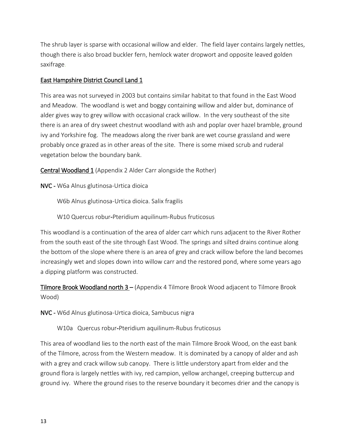The shrub layer is sparse with occasional willow and elder. The field layer contains largely nettles, though there is also broad buckler fern, hemlock water dropwort and opposite leaved golden saxifrage.

### East Hampshire District Council Land 1

This area was not surveyed in 2003 but contains similar habitat to that found in the East Wood and Meadow. The woodland is wet and boggy containing willow and alder but, dominance of alder gives way to grey willow with occasional crack willow. In the very southeast of the site there is an area of dry sweet chestnut woodland with ash and poplar over hazel bramble, ground ivy and Yorkshire fog. The meadows along the river bank are wet course grassland and were probably once grazed as in other areas of the site. There is some mixed scrub and ruderal vegetation below the boundary bank.

Central Woodland 1 (Appendix 2 Alder Carr alongside the Rother)

NVC - W6a Alnus glutinosa-Urtica dioica

W6b Alnus glutinosa-Urtica dioica. Salix fragilis

W10 Quercus robur-Pteridium aquilinum-Rubus fruticosus

This woodland is a continuation of the area of alder carr which runs adjacent to the River Rother from the south east of the site through East Wood. The springs and silted drains continue along the bottom of the slope where there is an area of grey and crack willow before the land becomes increasingly wet and slopes down into willow carr and the restored pond, where some years ago a dipping platform was constructed.

Tilmore Brook Woodland north 3 – (Appendix 4 Tilmore Brook Wood adjacent to Tilmore Brook Wood)

NVC - W6d Alnus glutinosa-Urtica dioica, Sambucus nigra

W10a Quercus robur-Pteridium aquilinum-Rubus fruticosus

This area of woodland lies to the north east of the main Tilmore Brook Wood, on the east bank of the Tilmore, across from the Western meadow. It is dominated by a canopy of alder and ash with a grey and crack willow sub canopy. There is little understory apart from elder and the ground flora is largely nettles with ivy, red campion, yellow archangel, creeping buttercup and ground ivy. Where the ground rises to the reserve boundary it becomes drier and the canopy is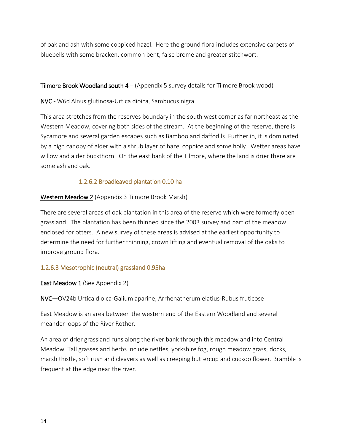of oak and ash with some coppiced hazel. Here the ground flora includes extensive carpets of bluebells with some bracken, common bent, false brome and greater stitchwort.

### **Tilmore Brook Woodland south**  $4 -$  (Appendix 5 survey details for Tilmore Brook wood)

NVC - W6d Alnus glutinosa-Urtica dioica, Sambucus nigra

This area stretches from the reserves boundary in the south west corner as far northeast as the Western Meadow, covering both sides of the stream. At the beginning of the reserve, there is Sycamore and several garden escapes such as Bamboo and daffodils. Further in, it is dominated by a high canopy of alder with a shrub layer of hazel coppice and some holly. Wetter areas have willow and alder buckthorn. On the east bank of the Tilmore, where the land is drier there are some ash and oak.

### 1.2.6.2 Broadleaved plantation 0.10 ha

Western Meadow 2 (Appendix 3 Tilmore Brook Marsh)

There are several areas of oak plantation in this area of the reserve which were formerly open grassland. The plantation has been thinned since the 2003 survey and part of the meadow enclosed for otters. A new survey of these areas is advised at the earliest opportunity to determine the need for further thinning, crown lifting and eventual removal of the oaks to improve ground flora.

### 1.2.6.3 Mesotrophic (neutral) grassland 0.95ha

### **East Meadow 1** (See Appendix 2)

NVC—OV24b Urtica dioica-Galium aparine, Arrhenatherum elatius-Rubus fruticose

East Meadow is an area between the western end of the Eastern Woodland and several meander loops of the River Rother.

An area of drier grassland runs along the river bank through this meadow and into Central Meadow. Tall grasses and herbs include nettles, yorkshire fog, rough meadow grass, docks, marsh thistle, soft rush and cleavers as well as creeping buttercup and cuckoo flower. Bramble is frequent at the edge near the river.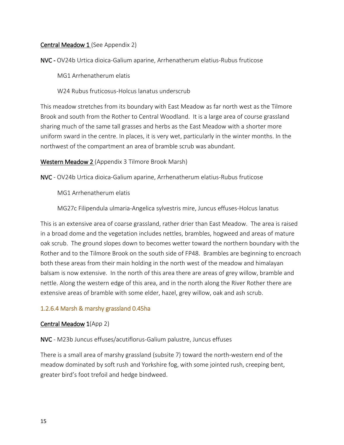#### Central Meadow 1 (See Appendix 2)

NVC - OV24b Urtica dioica-Galium aparine, Arrhenatherum elatius-Rubus fruticose

MG1 Arrhenatherum elatis

W24 Rubus fruticosus-Holcus lanatus underscrub

This meadow stretches from its boundary with East Meadow as far north west as the Tilmore Brook and south from the Rother to Central Woodland. It is a large area of course grassland sharing much of the same tall grasses and herbs as the East Meadow with a shorter more uniform sward in the centre. In places, it is very wet, particularly in the winter months. In the northwest of the compartment an area of bramble scrub was abundant.

#### Western Meadow 2 (Appendix 3 Tilmore Brook Marsh)

NVC - OV24b Urtica dioica-Galium aparine, Arrhenatherum elatius-Rubus fruticose

MG1 Arrhenatherum elatis

MG27c Filipendula ulmaria-Angelica sylvestris mire, Juncus effuses-Holcus lanatus

This is an extensive area of coarse grassland, rather drier than East Meadow. The area is raised in a broad dome and the vegetation includes nettles, brambles, hogweed and areas of mature oak scrub. The ground slopes down to becomes wetter toward the northern boundary with the Rother and to the Tilmore Brook on the south side of FP48. Brambles are beginning to encroach both these areas from their main holding in the north west of the meadow and himalayan balsam is now extensive. In the north of this area there are areas of grey willow, bramble and nettle. Along the western edge of this area, and in the north along the River Rother there are extensive areas of bramble with some elder, hazel, grey willow, oak and ash scrub.

### 1.2.6.4 Marsh & marshy grassland 0.45ha

### Central Meadow 1(App 2)

NVC - M23b Juncus effuses/acutiflorus-Galium palustre, Juncus effuses

There is a small area of marshy grassland (subsite 7) toward the north-western end of the meadow dominated by soft rush and Yorkshire fog, with some jointed rush, creeping bent, greater bird's foot trefoil and hedge bindweed.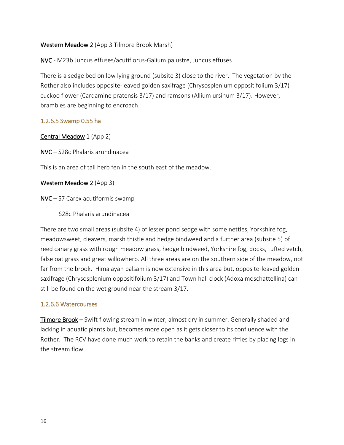### Western Meadow 2 (App 3 Tilmore Brook Marsh)

NVC - M23b Juncus effuses/acutiflorus-Galium palustre, Juncus effuses

There is a sedge bed on low lying ground (subsite 3) close to the river. The vegetation by the Rother also includes opposite-leaved golden saxifrage (Chrysosplenium oppositifolium 3/17) cuckoo flower (Cardamine pratensis 3/17) and ramsons (Allium ursinum 3/17). However, brambles are beginning to encroach.

#### 1.2.6.5 Swamp 0.55 ha

#### Central Meadow 1 (App 2)

NVC – S28c Phalaris arundinacea

This is an area of tall herb fen in the south east of the meadow.

#### Western Meadow 2 (App 3)

NVC – S7 Carex acutiformis swamp

S28c Phalaris arundinacea

There are two small areas (subsite 4) of lesser pond sedge with some nettles, Yorkshire fog, meadowsweet, cleavers, marsh thistle and hedge bindweed and a further area (subsite 5) of reed canary grass with rough meadow grass, hedge bindweed, Yorkshire fog, docks, tufted vetch, false oat grass and great willowherb. All three areas are on the southern side of the meadow, not far from the brook. Himalayan balsam is now extensive in this area but, opposite-leaved golden saxifrage (Chrysosplenium oppositifolium 3/17) and Town hall clock (Adoxa moschattellina) can still be found on the wet ground near the stream 3/17.

#### 1.2.6.6 Watercourses

Tilmore Brook *–* Swift flowing stream in winter, almost dry in summer. Generally shaded and lacking in aquatic plants but, becomes more open as it gets closer to its confluence with the Rother. The RCV have done much work to retain the banks and create riffles by placing logs in the stream flow.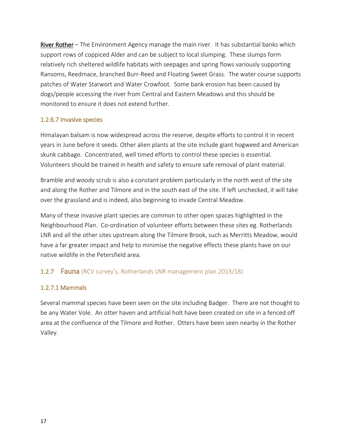River Rother– The Environment Agency manage the main river. It has substantial banks which support rows of coppiced Alder and can be subject to local slumping. These slumps form relatively rich sheltered wildlife habitats with seepages and spring flows variously supporting Ransoms, Reedmace, branched Burr-Reed and Floating Sweet Grass. The water course supports patches of Water Starwort and Water Crowfoot. Some bank erosion has been caused by dogs/people accessing the river from Central and Eastern Meadows and this should be monitored to ensure it does not extend further.

### 1.2.6.7 Invasive species

Himalayan balsam is now widespread across the reserve, despite efforts to control it in recent years in June before it seeds. Other alien plants at the site include giant hogweed and American skunk cabbage. Concentrated, well timed efforts to control these species is essential. Volunteers should be trained in health and safety to ensure safe removal of plant material.

Bramble and woody scrub is also a constant problem particularly in the north west of the site and along the Rother and Tilmore and in the south east of the site. If left unchecked, it will take over the grassland and is indeed, also beginning to invade Central Meadow.

Many of these invasive plant species are common to other open spaces highlighted in the Neighbourhood Plan. Co-ordination of volunteer efforts between these sites eg. Rotherlands LNR and all the other sites upstream along the Tilmore Brook, such as Merritts Meadow, would have a far greater impact and help to minimise the negative effects these plants have on our native wildlife in the Petersfield area.

### 1.2.7 Fauna (RCV survey's, Rotherlands LNR management plan 2013/18)

### 1.2.7.1 Mammals

Several mammal species have been seen on the site including Badger. There are not thought to be any Water Vole. An otter haven and artificial holt have been created on site in a fenced off area at the confluence of the Tilmore and Rother. Otters have been seen nearby in the Rother Valley.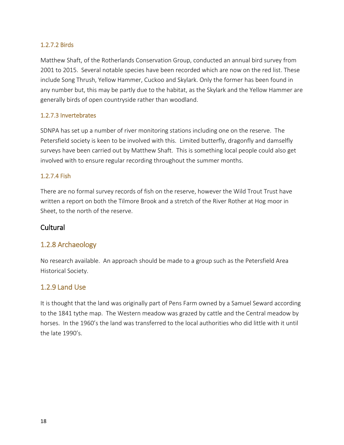### 1.2.7.2 Birds

Matthew Shaft, of the Rotherlands Conservation Group, conducted an annual bird survey from 2001 to 2015. Several notable species have been recorded which are now on the red list. These include Song Thrush, Yellow Hammer, Cuckoo and Skylark. Only the former has been found in any number but, this may be partly due to the habitat, as the Skylark and the Yellow Hammer are generally birds of open countryside rather than woodland.

### 1.2.7.3 Invertebrates

SDNPA has set up a number of river monitoring stations including one on the reserve. The Petersfield society is keen to be involved with this. Limited butterfly, dragonfly and damselfly surveys have been carried out by Matthew Shaft. This is something local people could also get involved with to ensure regular recording throughout the summer months.

### 1.2.7.4 Fish

There are no formal survey records of fish on the reserve, however the Wild Trout Trust have written a report on both the Tilmore Brook and a stretch of the River Rother at Hog moor in Sheet, to the north of the reserve.

### **Cultural**

### 1.2.8 Archaeology

No research available. An approach should be made to a group such as the Petersfield Area Historical Society.

### 1.2.9 Land Use

It is thought that the land was originally part of Pens Farm owned by a Samuel Seward according to the 1841 tythe map. The Western meadow was grazed by cattle and the Central meadow by horses. In the 1960's the land was transferred to the local authorities who did little with it until the late 1990's.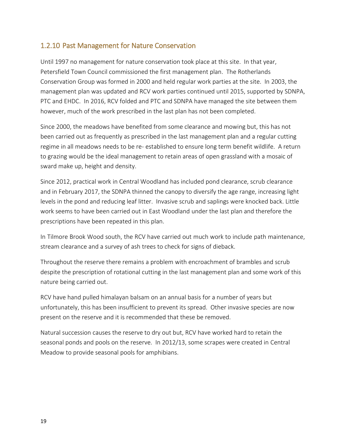### 1.2.10 Past Management for Nature Conservation

Until 1997 no management for nature conservation took place at this site. In that year, Petersfield Town Council commissioned the first management plan. The Rotherlands Conservation Group was formed in 2000 and held regular work parties at the site. In 2003, the management plan was updated and RCV work parties continued until 2015, supported by SDNPA, PTC and EHDC. In 2016, RCV folded and PTC and SDNPA have managed the site between them however, much of the work prescribed in the last plan has not been completed.

Since 2000, the meadows have benefited from some clearance and mowing but, this has not been carried out as frequently as prescribed in the last management plan and a regular cutting regime in all meadows needs to be re- established to ensure long term benefit wildlife. A return to grazing would be the ideal management to retain areas of open grassland with a mosaic of sward make up, height and density.

Since 2012, practical work in Central Woodland has included pond clearance, scrub clearance and in February 2017, the SDNPA thinned the canopy to diversify the age range, increasing light levels in the pond and reducing leaf litter. Invasive scrub and saplings were knocked back. Little work seems to have been carried out in East Woodland under the last plan and therefore the prescriptions have been repeated in this plan.

In Tilmore Brook Wood south, the RCV have carried out much work to include path maintenance, stream clearance and a survey of ash trees to check for signs of dieback.

Throughout the reserve there remains a problem with encroachment of brambles and scrub despite the prescription of rotational cutting in the last management plan and some work of this nature being carried out.

RCV have hand pulled himalayan balsam on an annual basis for a number of years but unfortunately, this has been insufficient to prevent its spread. Other invasive species are now present on the reserve and it is recommended that these be removed.

Natural succession causes the reserve to dry out but, RCV have worked hard to retain the seasonal ponds and pools on the reserve. In 2012/13, some scrapes were created in Central Meadow to provide seasonal pools for amphibians.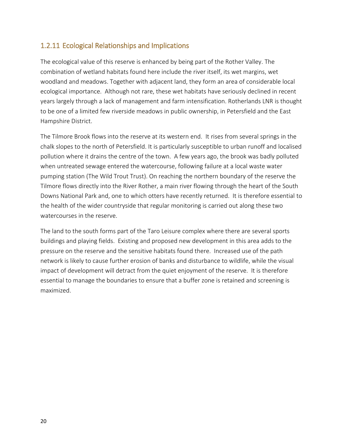### 1.2.11 Ecological Relationships and Implications

The ecological value of this reserve is enhanced by being part of the Rother Valley. The combination of wetland habitats found here include the river itself, its wet margins, wet woodland and meadows. Together with adjacent land, they form an area of considerable local ecological importance. Although not rare, these wet habitats have seriously declined in recent years largely through a lack of management and farm intensification. Rotherlands LNR is thought to be one of a limited few riverside meadows in public ownership, in Petersfield and the East Hampshire District.

The Tilmore Brook flows into the reserve at its western end. It rises from several springs in the chalk slopes to the north of Petersfield. It is particularly susceptible to urban runoff and localised pollution where it drains the centre of the town. A few years ago, the brook was badly polluted when untreated sewage entered the watercourse, following failure at a local waste water pumping station (The Wild Trout Trust). On reaching the northern boundary of the reserve the Tilmore flows directly into the River Rother, a main river flowing through the heart of the South Downs National Park and, one to which otters have recently returned. It is therefore essential to the health of the wider countryside that regular monitoring is carried out along these two watercourses in the reserve.

The land to the south forms part of the Taro Leisure complex where there are several sports buildings and playing fields. Existing and proposed new development in this area adds to the pressure on the reserve and the sensitive habitats found there. Increased use of the path network is likely to cause further erosion of banks and disturbance to wildlife, while the visual impact of development will detract from the quiet enjoyment of the reserve. It is therefore essential to manage the boundaries to ensure that a buffer zone is retained and screening is maximized.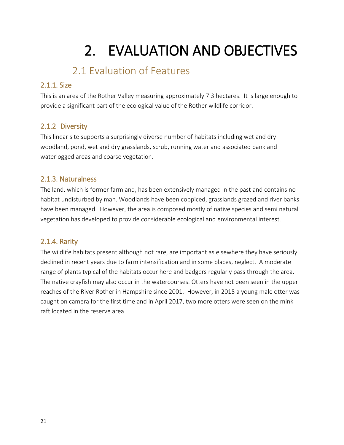## 2. EVALUATION AND OBJECTIVES

### 2.1 Evaluation of Features

### 2.1.1. Size

This is an area of the Rother Valley measuring approximately 7.3 hectares. It is large enough to provide a significant part of the ecological value of the Rother wildlife corridor.

### 2.1.2 Diversity

This linear site supports a surprisingly diverse number of habitats including wet and dry woodland, pond, wet and dry grasslands, scrub, running water and associated bank and waterlogged areas and coarse vegetation.

### 2.1.3. Naturalness

The land, which is former farmland, has been extensively managed in the past and contains no habitat undisturbed by man. Woodlands have been coppiced, grasslands grazed and river banks have been managed. However, the area is composed mostly of native species and semi natural vegetation has developed to provide considerable ecological and environmental interest.

### 2.1.4. Rarity

The wildlife habitats present although not rare, are important as elsewhere they have seriously declined in recent years due to farm intensification and in some places, neglect. A moderate range of plants typical of the habitats occur here and badgers regularly pass through the area. The native crayfish may also occur in the watercourses. Otters have not been seen in the upper reaches of the River Rother in Hampshire since 2001. However, in 2015 a young male otter was caught on camera for the first time and in April 2017, two more otters were seen on the mink raft located in the reserve area.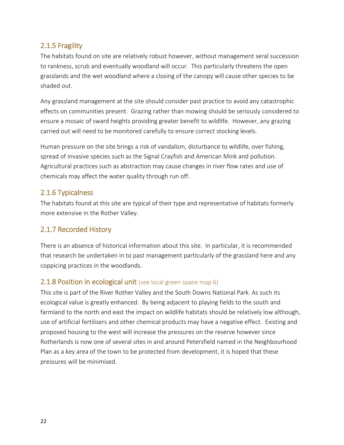### 2.1.5 Fragility

The habitats found on site are relatively robust however, without management seral succession to rankness, scrub and eventually woodland will occur. This particularly threatens the open grasslands and the wet woodland where a closing of the canopy will cause other species to be shaded out.

Any grassland management at the site should consider past practice to avoid any catastrophic effects on communities present. Grazing rather than mowing should be seriously considered to ensure a mosaic of sward heights providing greater benefit to wildlife. However, any grazing carried out will need to be monitored carefully to ensure correct stocking levels.

Human pressure on the site brings a risk of vandalism, disturbance to wildlife, over fishing, spread of invasive species such as the Signal Crayfish and American Mink and pollution. Agricultural practices such as abstraction may cause changes in river flow rates and use of chemicals may affect the water quality through run off.

### 2.1.6 Typicalness

The habitats found at this site are typical of their type and representative of habitats formerly more extensive in the Rother Valley.

### 2.1.7 Recorded History

There is an absence of historical information about this site. In particular, it is recommended that research be undertaken in to past management particularly of the grassland here and any coppicing practices in the woodlands.

### **2.1.8 Position in ecological unit** (see local green space map 6)

This site is part of the River Rother Valley and the South Downs National Park. As such its ecological value is greatly enhanced. By being adjacent to playing fields to the south and farmland to the north and east the impact on wildlife habitats should be relatively low although, use of artificial fertilisers and other chemical products may have a negative effect. Existing and proposed housing to the west will increase the pressures on the reserve however since Rotherlands is now one of several sites in and around Petersfield named in the Neighbourhood Plan as a key area of the town to be protected from development, it is hoped that these pressures will be minimised.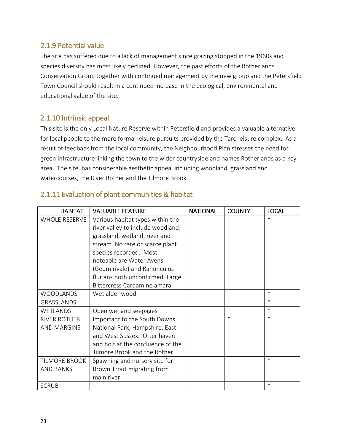### 2.1.9 Potential value

The site has suffered due to a lack of management since grazing stopped in the 1960s and species diversity has most likely declined. However, the past efforts of the Rotherlands Conservation Group together with continued management by the new group and the Petersfield Town Council should result in a continued increase in the ecological, environmental and educational value of the site.

### 2.1.10 Intrinsic appeal

This site is the only Local Nature Reserve within Petersfield and provides a valuable alternative for local people to the more formal leisure pursuits provided by the Taro leisure complex. As a result of feedback from the local community, the Neighbourhood Plan stresses the need for green infrastructure linking the town to the wider countryside and names Rotherlands as a key area. The site, has considerable aesthetic appeal including woodland, grassland and watercourses, the River Rother and the Tilmore Brook.

| <b>HABITAT</b>       | <b>VALUABLE FEATURE</b>           | <b>NATIONAL</b> | <b>COUNTY</b> | <b>LOCAL</b> |
|----------------------|-----------------------------------|-----------------|---------------|--------------|
| <b>WHOLE RESERVE</b> | Various habitat types within the  |                 |               | $\ast$       |
|                      | river valley to include woodland, |                 |               |              |
|                      | grassland, wetland, river and     |                 |               |              |
|                      | stream. No rare or scarce plant   |                 |               |              |
|                      | species recorded. Most            |                 |               |              |
|                      | noteable are Water Avens          |                 |               |              |
|                      | (Geum rivale) and Ranunculus      |                 |               |              |
|                      | fluitans both unconfirmed. Large  |                 |               |              |
|                      | Bittercress Cardamine amara       |                 |               |              |
| <b>WOODLANDS</b>     | Wet alder wood                    |                 |               | $\ast$       |
| <b>GRASSLANDS</b>    |                                   |                 |               | $\ast$       |
| <b>WETLANDS</b>      | Open wetland seepages             |                 |               | $\ast$       |
| <b>RIVER ROTHER</b>  | Important to the South Downs      |                 | $\ast$        | $\ast$       |
| <b>AND MARGINS</b>   | National Park, Hampshire, East    |                 |               |              |
|                      | and West Sussex. Otter haven      |                 |               |              |
|                      | and holt at the confluence of the |                 |               |              |
|                      | Tilmore Brook and the Rother.     |                 |               |              |
| TILMORE BROOK        | Spawning and nursery site for     |                 |               | $\ast$       |
| <b>AND BANKS</b>     | Brown Trout migrating from        |                 |               |              |
|                      | main river.                       |                 |               |              |
| <b>SCRUB</b>         |                                   |                 |               | $\ast$       |

### 2.1.11 Evaluation of plant communities & habitat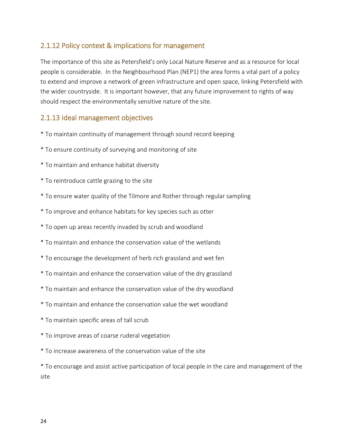### 2.1.12 Policy context & implications for management

The importance of this site as Petersfield's only Local Nature Reserve and as a resource for local people is considerable. In the Neighbourhood Plan (NEP1) the area forms a vital part of a policy to extend and improve a network of green infrastructure and open space, linking Petersfield with the wider countryside. It is important however, that any future improvement to rights of way should respect the environmentally sensitive nature of the site.

### 2.1.13 Ideal management objectives

- \* To maintain continuity of management through sound record keeping
- \* To ensure continuity of surveying and monitoring of site
- \* To maintain and enhance habitat diversity
- \* To reintroduce cattle grazing to the site
- \* To ensure water quality of the Tilmore and Rother through regular sampling
- \* To improve and enhance habitats for key species such as otter
- \* To open up areas recently invaded by scrub and woodland
- \* To maintain and enhance the conservation value of the wetlands
- \* To encourage the development of herb rich grassland and wet fen
- \* To maintain and enhance the conservation value of the dry grassland
- \* To maintain and enhance the conservation value of the dry woodland
- \* To maintain and enhance the conservation value the wet woodland
- \* To maintain specific areas of tall scrub
- \* To improve areas of coarse ruderal vegetation
- \* To increase awareness of the conservation value of the site

\* To encourage and assist active participation of local people in the care and management of the site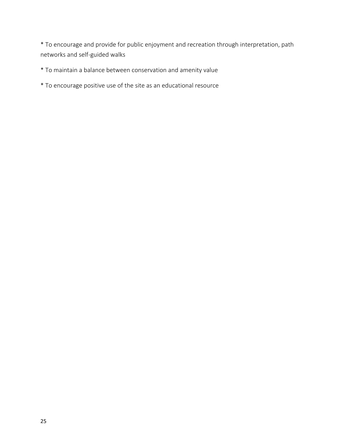\* To encourage and provide for public enjoyment and recreation through interpretation, path networks and self-guided walks

\* To maintain a balance between conservation and amenity value

\* To encourage positive use of the site as an educational resource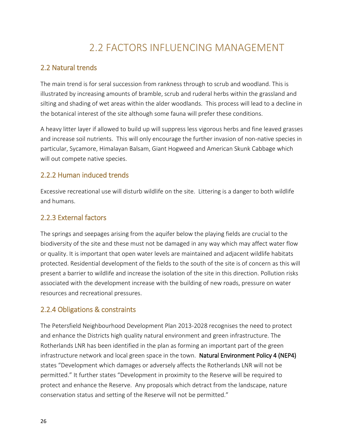### 2.2 FACTORS INFLUENCING MANAGEMENT

### 2.2 Natural trends

The main trend is for seral succession from rankness through to scrub and woodland. This is illustrated by increasing amounts of bramble, scrub and ruderal herbs within the grassland and silting and shading of wet areas within the alder woodlands. This process will lead to a decline in the botanical interest of the site although some fauna will prefer these conditions.

A heavy litter layer if allowed to build up will suppress less vigorous herbs and fine leaved grasses and increase soil nutrients. This will only encourage the further invasion of non-native species in particular, Sycamore, Himalayan Balsam, Giant Hogweed and American Skunk Cabbage which will out compete native species.

### 2.2.2 Human induced trends

Excessive recreational use will disturb wildlife on the site. Littering is a danger to both wildlife and humans.

### 2.2.3 External factors

The springs and seepages arising from the aquifer below the playing fields are crucial to the biodiversity of the site and these must not be damaged in any way which may affect water flow or quality. It is important that open water levels are maintained and adjacent wildlife habitats protected. Residential development of the fields to the south of the site is of concern as this will present a barrier to wildlife and increase the isolation of the site in this direction. Pollution risks associated with the development increase with the building of new roads, pressure on water resources and recreational pressures.

### 2.2.4 Obligations & constraints

The Petersfield Neighbourhood Development Plan 2013-2028 recognises the need to protect and enhance the Districts high quality natural environment and green infrastructure. The Rotherlands LNR has been identified in the plan as forming an important part of the green infrastructure network and local green space in the town. Natural Environment Policy 4 (NEP4) states "Development which damages or adversely affects the Rotherlands LNR will not be permitted." It further states "Development in proximity to the Reserve will be required to protect and enhance the Reserve. Any proposals which detract from the landscape, nature conservation status and setting of the Reserve will not be permitted."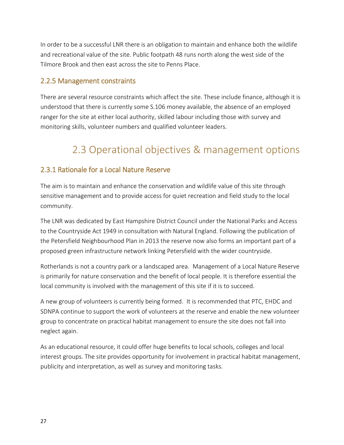In order to be a successful LNR there is an obligation to maintain and enhance both the wildlife and recreational value of the site. Public footpath 48 runs north along the west side of the Tilmore Brook and then east across the site to Penns Place.

### 2.2.5 Management constraints

There are several resource constraints which affect the site. These include finance, although it is understood that there is currently some S.106 money available, the absence of an employed ranger for the site at either local authority, skilled labour including those with survey and monitoring skills, volunteer numbers and qualified volunteer leaders.

### 2.3 Operational objectives & management options

### 2.3.1 Rationale for a Local Nature Reserve

The aim is to maintain and enhance the conservation and wildlife value of this site through sensitive management and to provide access for quiet recreation and field study to the local community.

The LNR was dedicated by East Hampshire District Council under the National Parks and Access to the Countryside Act 1949 in consultation with Natural England. Following the publication of the Petersfield Neighbourhood Plan in 2013 the reserve now also forms an important part of a proposed green infrastructure network linking Petersfield with the wider countryside.

Rotherlands is not a country park or a landscaped area. Management of a Local Nature Reserve is primarily for nature conservation and the benefit of local people. It is therefore essential the local community is involved with the management of this site if it is to succeed.

A new group of volunteers is currently being formed. It is recommended that PTC, EHDC and SDNPA continue to support the work of volunteers at the reserve and enable the new volunteer group to concentrate on practical habitat management to ensure the site does not fall into neglect again.

As an educational resource, it could offer huge benefits to local schools, colleges and local interest groups. The site provides opportunity for involvement in practical habitat management, publicity and interpretation, as well as survey and monitoring tasks.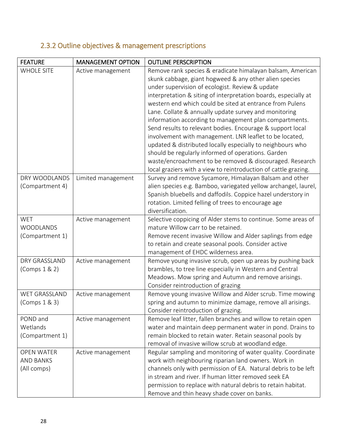### 2.3.2 Outline objectives & management prescriptions

| <b>FEATURE</b>    | <b>MANAGEMENT OPTION</b> | <b>OUTLINE PERSCRIPTION</b>                                     |
|-------------------|--------------------------|-----------------------------------------------------------------|
| <b>WHOLE SITE</b> | Active management        | Remove rank species & eradicate himalayan balsam, American      |
|                   |                          | skunk cabbage, giant hogweed & any other alien species          |
|                   |                          | under supervision of ecologist. Review & update                 |
|                   |                          | interpretation & siting of interpretation boards, especially at |
|                   |                          | western end which could be sited at entrance from Pulens        |
|                   |                          | Lane. Collate & annually update survey and monitoring           |
|                   |                          | information according to management plan compartments.          |
|                   |                          | Send results to relevant bodies. Encourage & support local      |
|                   |                          | involvement with management. LNR leaflet to be located,         |
|                   |                          | updated & distributed locally especially to neighbours who      |
|                   |                          | should be regularly informed of operations. Garden              |
|                   |                          | waste/encroachment to be removed & discouraged. Research        |
|                   |                          | local graziers with a view to reintroduction of cattle grazing. |
| DRY WOODLANDS     | Limited management       | Survey and remove Sycamore, Himalayan Balsam and other          |
| (Compartment 4)   |                          | alien species e.g. Bamboo, variegated yellow archangel, laurel, |
|                   |                          | Spanish bluebells and daffodils. Coppice hazel understory in    |
|                   |                          | rotation. Limited felling of trees to encourage age             |
|                   |                          | diversification.                                                |
| <b>WET</b>        | Active management        | Selective coppicing of Alder stems to continue. Some areas of   |
| WOODLANDS         |                          | mature Willow carr to be retained.                              |
| (Compartment 1)   |                          | Remove recent invasive Willow and Alder saplings from edge      |
|                   |                          | to retain and create seasonal pools. Consider active            |
|                   |                          | management of EHDC wilderness area.                             |
| DRY GRASSLAND     | Active management        | Remove young invasive scrub, open up areas by pushing back      |
| (Comps 1 & 2)     |                          | brambles, to tree line especially in Western and Central        |
|                   |                          | Meadows. Mow spring and Autumn and remove arisings.             |
|                   |                          | Consider reintroduction of grazing                              |
| WET GRASSLAND     | Active management        | Remove young invasive Willow and Alder scrub. Time mowing       |
| (Comps 1 & 3)     |                          | spring and autumn to minimize damage, remove all arisings.      |
|                   |                          | Consider reintroduction of grazing.                             |
| POND and          | Active management        | Remove leaf litter, fallen branches and willow to retain open   |
| Wetlands          |                          | water and maintain deep permanent water in pond. Drains to      |
| (Compartment 1)   |                          | remain blocked to retain water. Retain seasonal pools by        |
|                   |                          | removal of invasive willow scrub at woodland edge.              |
| <b>OPEN WATER</b> | Active management        | Regular sampling and monitoring of water quality. Coordinate    |
| <b>AND BANKS</b>  |                          | work with neighbouring riparian land owners. Work in            |
| (All comps)       |                          | channels only with permission of EA. Natural debris to be left  |
|                   |                          | in stream and river. If human litter removed seek EA            |
|                   |                          | permission to replace with natural debris to retain habitat.    |
|                   |                          | Remove and thin heavy shade cover on banks.                     |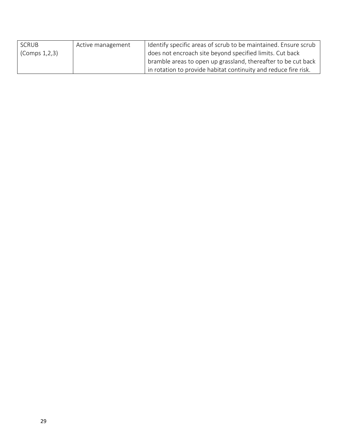| SCRUB           | Active management | Identify specific areas of scrub to be maintained. Ensure scrub |
|-----------------|-------------------|-----------------------------------------------------------------|
| (Comps 1, 2, 3) |                   | does not encroach site beyond specified limits. Cut back        |
|                 |                   | bramble areas to open up grassland, thereafter to be cut back   |
|                 |                   | in rotation to provide habitat continuity and reduce fire risk. |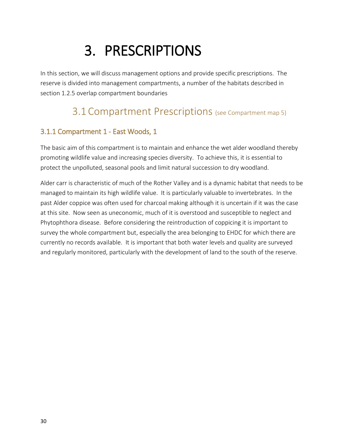## 3. PRESCRIPTIONS

In this section, we will discuss management options and provide specific prescriptions. The reserve is divided into management compartments, a number of the habitats described in section 1.2.5 overlap compartment boundaries

### 3.1 Compartment Prescriptions (see Compartment map 5)

### 3.1.1 Compartment 1 - East Woods, 1

The basic aim of this compartment is to maintain and enhance the wet alder woodland thereby promoting wildlife value and increasing species diversity. To achieve this, it is essential to protect the unpolluted, seasonal pools and limit natural succession to dry woodland.

Alder carr is characteristic of much of the Rother Valley and is a dynamic habitat that needs to be managed to maintain its high wildlife value. It is particularly valuable to invertebrates. In the past Alder coppice was often used for charcoal making although it is uncertain if it was the case at this site. Now seen as uneconomic, much of it is overstood and susceptible to neglect and Phytophthora disease. Before considering the reintroduction of coppicing it is important to survey the whole compartment but, especially the area belonging to EHDC for which there are currently no records available. It is important that both water levels and quality are surveyed and regularly monitored, particularly with the development of land to the south of the reserve.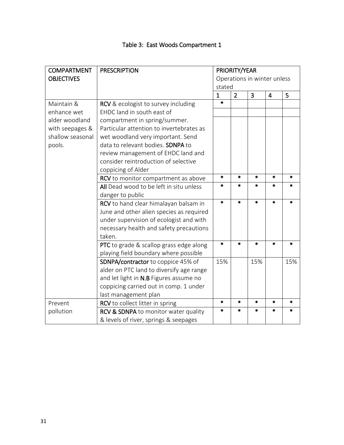| <b>COMPARTMENT</b> | <b>PRESCRIPTION</b>                      | PRIORITY/YEAR |                             |                |                |         |
|--------------------|------------------------------------------|---------------|-----------------------------|----------------|----------------|---------|
| <b>OBJECTIVES</b>  |                                          |               | Operations in winter unless |                |                |         |
|                    |                                          | stated        |                             |                |                |         |
|                    |                                          | $\mathbf{1}$  | $\overline{2}$              | $\overline{3}$ | $\overline{4}$ | 5       |
| Maintain &         | RCV & ecologist to survey including      | $\ast$        |                             |                |                |         |
| enhance wet        | EHDC land in south east of               |               |                             |                |                |         |
| alder woodland     | compartment in spring/summer.            |               |                             |                |                |         |
| with seepages &    | Particular attention to invertebrates as |               |                             |                |                |         |
| shallow seasonal   | wet woodland very important. Send        |               |                             |                |                |         |
| pools.             | data to relevant bodies. SDNPA to        |               |                             |                |                |         |
|                    | review management of EHDC land and       |               |                             |                |                |         |
|                    | consider reintroduction of selective     |               |                             |                |                |         |
|                    | coppicing of Alder                       |               |                             |                |                |         |
|                    | RCV to monitor compartment as above      |               | $\ast$                      | $\ast$         | $\ast$         | $\star$ |
|                    | All Dead wood to be left in situ unless  | *             | $\ast$                      | *              | *              | *       |
|                    | danger to public                         |               |                             |                |                |         |
|                    | RCV to hand clear himalayan balsam in    | $\ast$        | $\star$                     | $\ast$         | $\ast$         | $\ast$  |
|                    | June and other alien species as required |               |                             |                |                |         |
|                    | under supervision of ecologist and with  |               |                             |                |                |         |
|                    | necessary health and safety precautions  |               |                             |                |                |         |
|                    | taken.                                   |               |                             |                |                |         |
|                    | PTC to grade & scallop grass edge along  | $\star$       | $\ast$                      | $\ast$         | $\ast$         | $\ast$  |
|                    | playing field boundary where possible    |               |                             |                |                |         |
|                    | SDNPA/contractor to coppice 45% of       | 15%           |                             | 15%            |                | 15%     |
|                    | alder on PTC land to diversify age range |               |                             |                |                |         |
|                    | and let light in N.B Figures assume no   |               |                             |                |                |         |
|                    | coppicing carried out in comp. 1 under   |               |                             |                |                |         |
|                    | last management plan                     |               |                             |                |                |         |
| Prevent            | RCV to collect litter in spring          | $\ast$        | $\ast$                      | $\ast$         | $\ast$         | $\ast$  |
| pollution          | RCV & SDNPA to monitor water quality     | $\ast$        | $\ast$                      | *              | *              | *       |
|                    | & levels of river, springs & seepages    |               |                             |                |                |         |

### Table 3: East Woods Compartment 1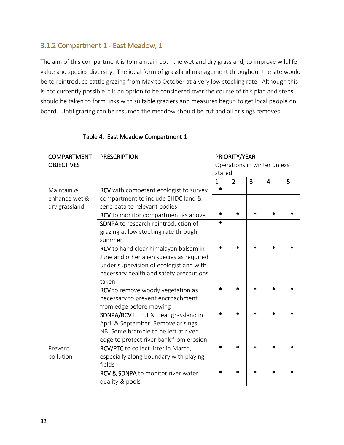### 3.1.2 Compartment 1 - East Meadow, 1

The aim of this compartment is to maintain both the wet and dry grassland, to improve wildlife value and species diversity. The ideal form of grassland management throughout the site would be to reintroduce cattle grazing from May to October at a very low stocking rate. Although this is not currently possible it is an option to be considered over the course of this plan and steps should be taken to form links with suitable graziers and measures begun to get local people on board. Until grazing can be resumed the meadow should be cut and all arisings removed.

| <b>COMPARTMENT</b> | <b>PRESCRIPTION</b>                           | PRIORITY/YEAR               |                |        |         |         |
|--------------------|-----------------------------------------------|-----------------------------|----------------|--------|---------|---------|
| <b>OBJECTIVES</b>  |                                               | Operations in winter unless |                |        |         |         |
|                    |                                               | stated                      |                |        |         |         |
|                    |                                               | $\mathbf{1}$                | $\overline{2}$ | 3      | 4       | 5       |
| Maintain &         | <b>RCV</b> with competent ecologist to survey | $\ast$                      |                |        |         |         |
| enhance wet &      | compartment to include EHDC land &            |                             |                |        |         |         |
| dry grassland      | send data to relevant bodies                  |                             |                |        |         |         |
|                    | RCV to monitor compartment as above           | $\ast$                      | $\ast$         | $\ast$ | $\ast$  | $\star$ |
|                    | <b>SDNPA</b> to research reintroduction of    | $\ast$                      |                |        |         |         |
|                    | grazing at low stocking rate through          |                             |                |        |         |         |
|                    | summer.                                       |                             |                |        |         |         |
|                    | RCV to hand clear himalayan balsam in         | $\ast$                      | $\star$        | $\ast$ | $\star$ |         |
|                    | June and other alien species as required      |                             |                |        |         |         |
|                    | under supervision of ecologist and with       |                             |                |        |         |         |
|                    | necessary health and safety precautions       |                             |                |        |         |         |
|                    | taken.                                        |                             |                |        |         |         |
|                    | RCV to remove woody vegetation as             | $\ast$                      | $\ast$         | $\ast$ | $\star$ |         |
|                    | necessary to prevent encroachment             |                             |                |        |         |         |
|                    | from edge before mowing                       |                             |                |        |         |         |
|                    | SDNPA/RCV to cut & clear grassland in         | $\star$                     | $\star$        | *      | *       | *       |
|                    | April & September. Remove arisings            |                             |                |        |         |         |
|                    | NB. Some bramble to be left at river          |                             |                |        |         |         |
|                    | edge to protect river bank from erosion.      |                             |                |        |         |         |
| Prevent            | RCV/PTC to collect litter in March,           | $\star$                     | $\frac{1}{2}$  | $\ast$ | $\star$ |         |
| pollution          | especially along boundary with playing        |                             |                |        |         |         |
|                    | fields                                        |                             |                |        |         |         |
|                    | <b>RCV &amp; SDNPA</b> to monitor river water | $\ast$                      | $\ast$         | *      | *       | *       |
|                    | quality & pools                               |                             |                |        |         |         |

### Table 4: East Meadow Compartment 1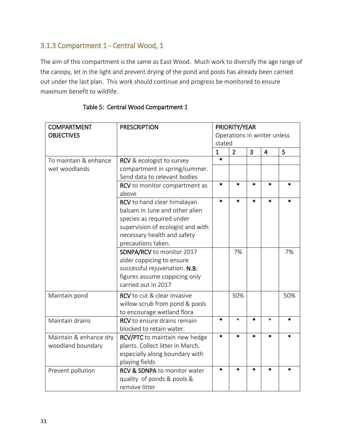### 3.1.3 Compartment 1 - Central Wood, 1

The aim of this compartment is the same as East Wood. Much work to diversify the age range of the canopy, let in the light and prevent drying of the pond and pools has already been carried out under the last plan. This work should continue and progress be monitored to ensure maximum benefit to wildlife.

| <b>COMPARTMENT</b>     | <b>PRESCRIPTION</b>                     | PRIORITY/YEAR |                             |        |                |        |
|------------------------|-----------------------------------------|---------------|-----------------------------|--------|----------------|--------|
| <b>OBJECTIVES</b>      |                                         |               | Operations in winter unless |        |                |        |
|                        |                                         |               | stated                      |        |                |        |
|                        |                                         | $\mathbf{1}$  | $\overline{2}$              | 3      | $\overline{4}$ | 5      |
| To maintain & enhance  | RCV & ecologist to survey               | $\ast$        |                             |        |                |        |
| wet woodlands          | compartment in spring/summer.           |               |                             |        |                |        |
|                        | Send data to relevant bodies            |               |                             |        |                |        |
|                        | RCV to monitor compartment as           | $\ast$        | $\ast$                      | $\ast$ | $\ast$         | $\ast$ |
|                        | above                                   |               |                             |        |                |        |
|                        | RCV to hand clear himalayan             | $\ast$        | $\ast$                      | $\ast$ | $\ast$         | $\ast$ |
|                        | balsam in June and other alien          |               |                             |        |                |        |
|                        | species as required under               |               |                             |        |                |        |
|                        | supervision of ecologist and with       |               |                             |        |                |        |
|                        | necessary health and safety             |               |                             |        |                |        |
|                        | precautions taken.                      |               |                             |        |                |        |
|                        | SDNPA/RCV to monitor 2017               |               | 7%                          |        |                | 7%     |
|                        | alder coppicing to ensure               |               |                             |        |                |        |
|                        | successful rejuvenation. N.B.           |               |                             |        |                |        |
|                        | figures assume coppicing only           |               |                             |        |                |        |
|                        | carried out in 2017                     |               |                             |        |                |        |
| Maintain pond          | RCV to cut & clear invasive             |               | 50%                         |        |                | 50%    |
|                        | willow scrub from pond & pools          |               |                             |        |                |        |
|                        | to encourage wetland flora              |               |                             |        |                |        |
| Maintain drains        | <b>RCV</b> to ensure drains remain      | $\ast$        | $\ast$                      | $\ast$ | $\ast$         | $\ast$ |
|                        | blocked to retain water.                |               |                             |        |                |        |
| Maintain & enhance dry | RCV/PTC to maintain new hedge           | $\star$       | $\ast$                      | $\ast$ | $\star$        | $\ast$ |
| woodland boundary      | plants. Collect litter in March,        |               |                             |        |                |        |
|                        | especially along boundary with          |               |                             |        |                |        |
|                        | playing fields                          |               |                             |        |                |        |
| Prevent pollution      | <b>RCV &amp; SDNPA to monitor water</b> | $\ast$        | $\ast$                      | $\ast$ | $\ast$         | $\ast$ |
|                        | quality of ponds & pools &              |               |                             |        |                |        |
|                        | remove litter                           |               |                             |        |                |        |

### Table 5: Central Wood Compartment 1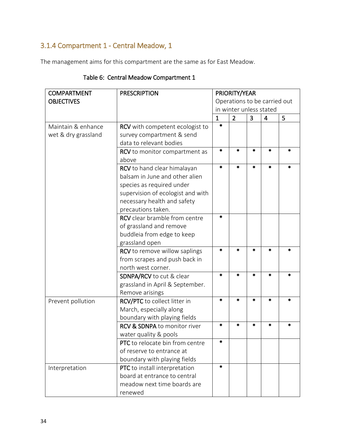### 3.1.4 Compartment 1 - Central Meadow, 1

The management aims for this compartment are the same as for East Meadow.

| <b>COMPARTMENT</b>  | <b>PRESCRIPTION</b>                     | PRIORITY/YEAR                                         |                         |        |         |        |
|---------------------|-----------------------------------------|-------------------------------------------------------|-------------------------|--------|---------|--------|
| <b>OBJECTIVES</b>   |                                         | Operations to be carried out                          |                         |        |         |        |
|                     |                                         |                                                       | in winter unless stated |        |         |        |
|                     |                                         | $\overline{2}$<br>3<br>$\overline{4}$<br>$\mathbf{1}$ |                         |        | 5       |        |
| Maintain & enhance  | <b>RCV</b> with competent ecologist to  | $\ast$                                                |                         |        |         |        |
| wet & dry grassland | survey compartment & send               |                                                       |                         |        |         |        |
|                     | data to relevant bodies                 |                                                       |                         |        |         |        |
|                     | RCV to monitor compartment as           | $\ast$                                                | $\ast$                  | *      | $\ast$  | *      |
|                     | above                                   |                                                       |                         |        |         |        |
|                     | RCV to hand clear himalayan             | $\ast$                                                | $\ast$                  | *      | $\ast$  | *      |
|                     | balsam in June and other alien          |                                                       |                         |        |         |        |
|                     | species as required under               |                                                       |                         |        |         |        |
|                     | supervision of ecologist and with       |                                                       |                         |        |         |        |
|                     | necessary health and safety             |                                                       |                         |        |         |        |
|                     | precautions taken.                      |                                                       |                         |        |         |        |
|                     | <b>RCV</b> clear bramble from centre    | $\ast$                                                |                         |        |         |        |
|                     | of grassland and remove                 |                                                       |                         |        |         |        |
|                     | buddleia from edge to keep              |                                                       |                         |        |         |        |
|                     | grassland open                          |                                                       |                         |        |         |        |
|                     | <b>RCV</b> to remove willow saplings    | $\ast$                                                | $\ast$                  | *      | $\star$ | $\ast$ |
|                     | from scrapes and push back in           |                                                       |                         |        |         |        |
|                     | north west corner.                      |                                                       |                         |        |         |        |
|                     | SDNPA/RCV to cut & clear                | $\ast$                                                | $\ast$                  | $\ast$ | $\ast$  | *      |
|                     | grassland in April & September.         |                                                       |                         |        |         |        |
|                     | Remove arisings                         |                                                       |                         |        |         |        |
| Prevent pollution   | RCV/PTC to collect litter in            | $\ast$                                                | $\ast$                  | $\ast$ | $\star$ | *      |
|                     | March, especially along                 |                                                       |                         |        |         |        |
|                     | boundary with playing fields            |                                                       |                         |        |         |        |
|                     | <b>RCV &amp; SDNPA to monitor river</b> | $\ast$                                                | $\ast$                  | $\ast$ | $\ast$  | $\ast$ |
|                     | water quality & pools                   |                                                       |                         |        |         |        |
|                     | PTC to relocate bin from centre         | *                                                     |                         |        |         |        |
|                     | of reserve to entrance at               |                                                       |                         |        |         |        |
|                     | boundary with playing fields            |                                                       |                         |        |         |        |
| Interpretation      | PTC to install interpretation           | $\ast$                                                |                         |        |         |        |
|                     | board at entrance to central            |                                                       |                         |        |         |        |
|                     | meadow next time boards are             |                                                       |                         |        |         |        |
|                     | renewed                                 |                                                       |                         |        |         |        |

### Table 6: Central Meadow Compartment 1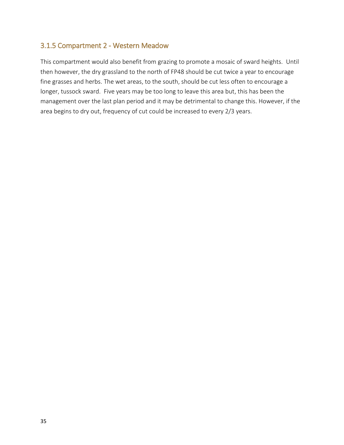### 3.1.5 Compartment 2 - Western Meadow

This compartment would also benefit from grazing to promote a mosaic of sward heights. Until then however, the dry grassland to the north of FP48 should be cut twice a year to encourage fine grasses and herbs. The wet areas, to the south, should be cut less often to encourage a longer, tussock sward. Five years may be too long to leave this area but, this has been the management over the last plan period and it may be detrimental to change this. However, if the area begins to dry out, frequency of cut could be increased to every 2/3 years.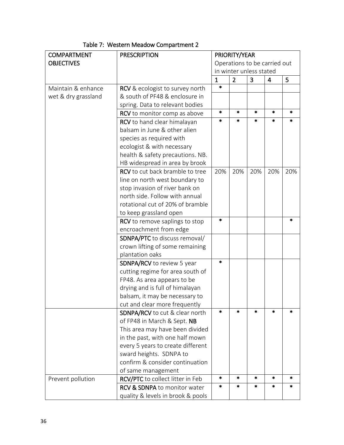| <b>COMPARTMENT</b>  | <b>PRESCRIPTION</b>                     | PRIORITY/YEAR                |                |        |        |         |
|---------------------|-----------------------------------------|------------------------------|----------------|--------|--------|---------|
| <b>OBJECTIVES</b>   |                                         | Operations to be carried out |                |        |        |         |
|                     |                                         | in winter unless stated      |                |        |        |         |
|                     |                                         | $\mathbf{1}$                 | $\overline{2}$ | 3      | 4      | 5       |
| Maintain & enhance  | RCV & ecologist to survey north         | $\star$                      |                |        |        |         |
| wet & dry grassland | & south of PF48 & enclosure in          |                              |                |        |        |         |
|                     | spring. Data to relevant bodies         |                              |                |        |        |         |
|                     | RCV to monitor comp as above            | $\star$                      | $\star$        | $\ast$ | $\ast$ | $\ast$  |
|                     | RCV to hand clear himalayan             | $\ast$                       | $\ast$         | *      | *      | *       |
|                     | balsam in June & other alien            |                              |                |        |        |         |
|                     | species as required with                |                              |                |        |        |         |
|                     | ecologist & with necessary              |                              |                |        |        |         |
|                     | health & safety precautions. NB.        |                              |                |        |        |         |
|                     | HB widespread in area by brook          |                              |                |        |        |         |
|                     | <b>RCV</b> to cut back bramble to tree  | 20%                          | 20%            | 20%    | 20%    | 20%     |
|                     | line on north west boundary to          |                              |                |        |        |         |
|                     | stop invasion of river bank on          |                              |                |        |        |         |
|                     | north side. Follow with annual          |                              |                |        |        |         |
|                     | rotational cut of 20% of bramble        |                              |                |        |        |         |
|                     | to keep grassland open                  |                              |                |        |        |         |
|                     | RCV to remove saplings to stop          | $\ast$                       |                |        |        | $\star$ |
|                     | encroachment from edge                  |                              |                |        |        |         |
|                     | SDNPA/PTC to discuss removal/           |                              |                |        |        |         |
|                     | crown lifting of some remaining         |                              |                |        |        |         |
|                     | plantation oaks                         |                              |                |        |        |         |
|                     | SDNPA/RCV to review 5 year              | $\ast$                       |                |        |        |         |
|                     | cutting regime for area south of        |                              |                |        |        |         |
|                     | FP48. As area appears to be             |                              |                |        |        |         |
|                     | drying and is full of himalayan         |                              |                |        |        |         |
|                     | balsam, it may be necessary to          |                              |                |        |        |         |
|                     | cut and clear more frequently           |                              |                |        |        |         |
|                     | <b>SDNPA/RCV</b> to cut & clear north   | $\ast$                       | $\star$        | $\ast$ | $\ast$ | $\ast$  |
|                     | of FP48 in March & Sept. NB             |                              |                |        |        |         |
|                     | This area may have been divided         |                              |                |        |        |         |
|                     | in the past, with one half mown         |                              |                |        |        |         |
|                     | every 5 years to create different       |                              |                |        |        |         |
|                     | sward heights. SDNPA to                 |                              |                |        |        |         |
|                     | confirm & consider continuation         |                              |                |        |        |         |
|                     | of same management                      |                              |                |        |        |         |
| Prevent pollution   | RCV/PTC to collect litter in Feb        | $\star$                      | $\star$        | *      | $\ast$ | $\ast$  |
|                     | <b>RCV &amp; SDNPA to monitor water</b> | *                            | $\ast$         | *      | *      | *       |
|                     | quality & levels in brook & pools       |                              |                |        |        |         |

Table 7: Western Meadow Compartment 2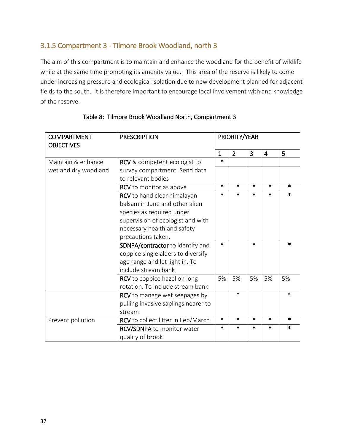### 3.1.5 Compartment 3 - Tilmore Brook Woodland, north 3

The aim of this compartment is to maintain and enhance the woodland for the benefit of wildlife while at the same time promoting its amenity value. This area of the reserve is likely to come under increasing pressure and ecological isolation due to new development planned for adjacent fields to the south. It is therefore important to encourage local involvement with and knowledge of the reserve.

| <b>COMPARTMENT</b><br><b>OBJECTIVES</b> | <b>PRESCRIPTION</b>                  | PRIORITY/YEAR |                |        |        |        |
|-----------------------------------------|--------------------------------------|---------------|----------------|--------|--------|--------|
|                                         |                                      | $\mathbf{1}$  | $\overline{2}$ | 3      | 4      | 5      |
| Maintain & enhance                      | RCV & competent ecologist to         | $\star$       |                |        |        |        |
| wet and dry woodland                    | survey compartment. Send data        |               |                |        |        |        |
|                                         | to relevant bodies                   |               |                |        |        |        |
|                                         | <b>RCV</b> to monitor as above       | $\star$       | $\ast$         | $\ast$ | $\ast$ | $\ast$ |
|                                         | RCV to hand clear himalayan          | $\ast$        | $\ast$         | $\ast$ | $\ast$ | $\ast$ |
|                                         | balsam in June and other alien       |               |                |        |        |        |
|                                         | species as required under            |               |                |        |        |        |
|                                         | supervision of ecologist and with    |               |                |        |        |        |
|                                         | necessary health and safety          |               |                |        |        |        |
|                                         | precautions taken.                   |               |                |        |        |        |
|                                         | SDNPA/contractor to identify and     | $\ast$        |                | $\ast$ |        | *      |
|                                         | coppice single alders to diversify   |               |                |        |        |        |
|                                         | age range and let light in. To       |               |                |        |        |        |
|                                         | include stream bank                  |               |                |        |        |        |
|                                         | RCV to coppice hazel on long         | 5%            | 5%             | 5%     | 5%     | 5%     |
|                                         | rotation. To include stream bank     |               |                |        |        |        |
|                                         | <b>RCV</b> to manage wet seepages by |               | $\ast$         |        |        | *      |
|                                         | pulling invasive saplings nearer to  |               |                |        |        |        |
|                                         | stream                               |               |                |        |        |        |
| Prevent pollution                       | RCV to collect litter in Feb/March   | $\star$       | $\ast$         | $\ast$ | $\ast$ | *      |
|                                         | RCV/SDNPA to monitor water           | *             | $\ast$         | $\ast$ | *      |        |
|                                         | quality of brook                     |               |                |        |        |        |

### Table 8: Tilmore Brook Woodland North, Compartment 3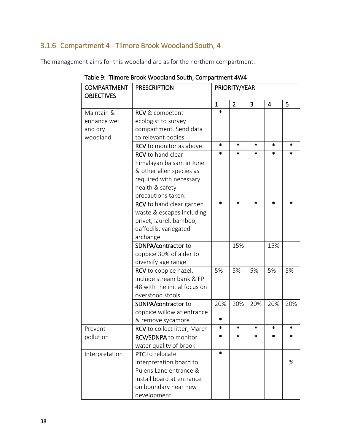### 3.1.6 Compartment 4 - Tilmore Brook Woodland South, 4

The management aims for this woodland are as for the northern compartment.

| <b>COMPARTMENT</b> | <b>PRESCRIPTION</b>                                          |              | PRIORITY/YEAR  |        |                |         |  |  |
|--------------------|--------------------------------------------------------------|--------------|----------------|--------|----------------|---------|--|--|
| <b>OBJECTIVES</b>  |                                                              | $\mathbf{1}$ | $\overline{2}$ | 3      | $\overline{4}$ | 5       |  |  |
| Maintain &         | <b>RCV</b> & competent                                       | $\ast$       |                |        |                |         |  |  |
| enhance wet        | ecologist to survey                                          |              |                |        |                |         |  |  |
| and dry            | compartment. Send data                                       |              |                |        |                |         |  |  |
| woodland           | to relevant bodies                                           |              |                |        |                |         |  |  |
|                    | RCV to monitor as above                                      | $\ast$       | $\ast$         | $\ast$ | $\ast$         | $\ast$  |  |  |
|                    | RCV to hand clear                                            | *            | *              | *      | *              | *       |  |  |
|                    |                                                              |              |                |        |                |         |  |  |
|                    | himalayan balsam in June                                     |              |                |        |                |         |  |  |
|                    | & other alien species as                                     |              |                |        |                |         |  |  |
|                    | required with necessary                                      |              |                |        |                |         |  |  |
|                    | health & safety                                              |              |                |        |                |         |  |  |
|                    | precautions taken.                                           | $\ast$       | $\ast$         | $\ast$ | $\ast$         | $\star$ |  |  |
|                    | <b>RCV</b> to hand clear garden<br>waste & escapes including |              |                |        |                |         |  |  |
|                    |                                                              |              |                |        |                |         |  |  |
|                    | privet, laurel, bamboo,                                      |              |                |        |                |         |  |  |
|                    | daffodils, variegated                                        |              |                |        |                |         |  |  |
|                    | archangel                                                    |              |                |        |                |         |  |  |
|                    | SDNPA/contractor to                                          |              | 15%            |        | 15%            |         |  |  |
|                    | coppice 30% of alder to                                      |              |                |        |                |         |  |  |
|                    | diversify age range                                          |              |                |        |                |         |  |  |
|                    | RCV to coppice hazel,                                        | 5%           | 5%             | 5%     | 5%             | 5%      |  |  |
|                    | include stream bank & FP                                     |              |                |        |                |         |  |  |
|                    | 48 with the initial focus on                                 |              |                |        |                |         |  |  |
|                    | overstood stools                                             |              |                |        |                |         |  |  |
|                    | SDNPA/contractor to                                          | 20%          | 20%            | 20%    | 20%            | 20%     |  |  |
|                    | coppice willow at entrance                                   | *            |                |        |                |         |  |  |
|                    | & remove sycamore                                            | *            | *              | *      | $\ast$         | *       |  |  |
| Prevent            | RCV to collect litter, March                                 | $\ast$       | $\ast$         | *      | $\ast$         | $\ast$  |  |  |
| pollution          | <b>RCV/SDNPA</b> to monitor                                  |              |                |        |                |         |  |  |
|                    | water quality of brook                                       | *            |                |        |                |         |  |  |
| Interpretation     | PTC to relocate                                              |              |                |        |                |         |  |  |
|                    | interpretation board to                                      |              |                |        |                | %       |  |  |
|                    | Pulens Lane entrance &                                       |              |                |        |                |         |  |  |
|                    | install board at entrance                                    |              |                |        |                |         |  |  |
|                    | on boundary near new                                         |              |                |        |                |         |  |  |
|                    | development.                                                 |              |                |        |                |         |  |  |

Table 9: Tilmore Brook Woodland South, Compartment 4W4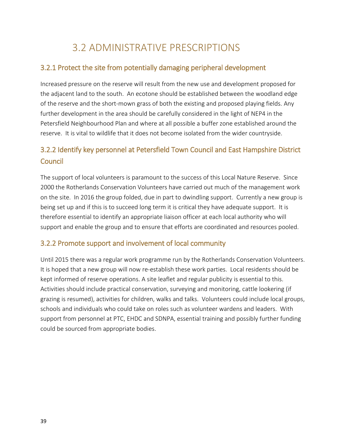### 3.2 ADMINISTRATIVE PRESCRIPTIONS

### 3.2.1 Protect the site from potentially damaging peripheral development

Increased pressure on the reserve will result from the new use and development proposed for the adjacent land to the south. An ecotone should be established between the woodland edge of the reserve and the short-mown grass of both the existing and proposed playing fields. Any further development in the area should be carefully considered in the light of NEP4 in the Petersfield Neighbourhood Plan and where at all possible a buffer zone established around the reserve. It is vital to wildlife that it does not become isolated from the wider countryside.

### 3.2.2 Identify key personnel at Petersfield Town Council and East Hampshire District **Council**

The support of local volunteers is paramount to the success of this Local Nature Reserve. Since 2000 the Rotherlands Conservation Volunteers have carried out much of the management work on the site. In 2016 the group folded, due in part to dwindling support. Currently a new group is being set up and if this is to succeed long term it is critical they have adequate support. It is therefore essential to identify an appropriate liaison officer at each local authority who will support and enable the group and to ensure that efforts are coordinated and resources pooled.

### 3.2.2 Promote support and involvement of local community

Until 2015 there was a regular work programme run by the Rotherlands Conservation Volunteers. It is hoped that a new group will now re-establish these work parties. Local residents should be kept informed of reserve operations. A site leaflet and regular publicity is essential to this. Activities should include practical conservation, surveying and monitoring, cattle lookering (if grazing is resumed), activities for children, walks and talks. Volunteers could include local groups, schools and individuals who could take on roles such as volunteer wardens and leaders. With support from personnel at PTC, EHDC and SDNPA, essential training and possibly further funding could be sourced from appropriate bodies.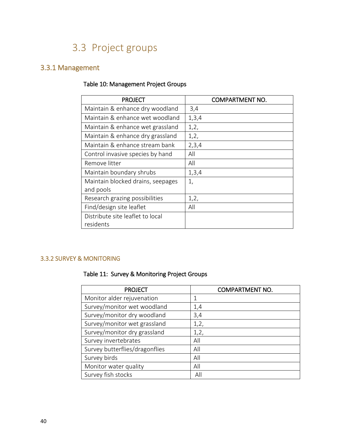### 3.3 Project groups

### 3.3.1 Management

### Table 10: Management Project Groups

| <b>PROJECT</b>                    | <b>COMPARTMENT NO.</b> |
|-----------------------------------|------------------------|
| Maintain & enhance dry woodland   | 3,4                    |
| Maintain & enhance wet woodland   | 1,3,4                  |
| Maintain & enhance wet grassland  | 1,2,                   |
| Maintain & enhance dry grassland  | 1,2,                   |
| Maintain & enhance stream bank    | 2,3,4                  |
| Control invasive species by hand  | All                    |
| Remove litter                     | All                    |
| Maintain boundary shrubs          | 1,3,4                  |
| Maintain blocked drains, seepages | 1,                     |
| and pools                         |                        |
| Research grazing possibilities    | 1,2,                   |
| Find/design site leaflet          | All                    |
| Distribute site leaflet to local  |                        |
| residents                         |                        |

### 3.3.2 SURVEY & MONITORING

### Table 11: Survey & Monitoring Project Groups

| <b>PROJECT</b>                 | <b>COMPARTMENT NO.</b> |
|--------------------------------|------------------------|
| Monitor alder rejuvenation     |                        |
| Survey/monitor wet woodland    | 1,4                    |
| Survey/monitor dry woodland    | 3,4                    |
| Survey/monitor wet grassland   | 1,2,                   |
| Survey/monitor dry grassland   | 1,2,                   |
| Survey invertebrates           | All                    |
| Survey butterflies/dragonflies | All                    |
| Survey birds                   | All                    |
| Monitor water quality          | All                    |
| Survey fish stocks             | All                    |